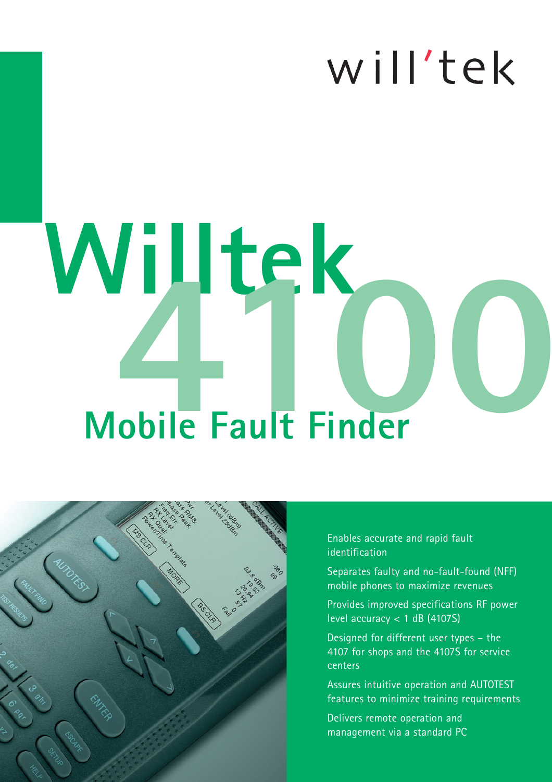# will'tek

# **Mobile Fault Finder**  $W$ illtek



Enables accurate and rapid fault identification

Separates faulty and no-fault-found (NFF) mobile phones to maximize revenues

Provides improved specifications RF power level accuracy  $<$  1 dB (4107S)

Designed for different user types – the 4107 for shops and the 4107S for service centers

Assures intuitive operation and AUTOTEST features to minimize training requirements

Delivers remote operation and management via a standard PC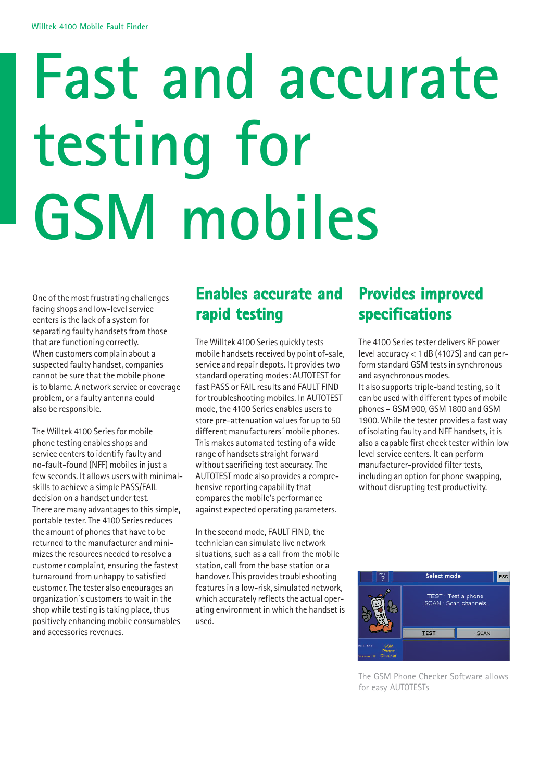# **Fast and accurate testing for GSM mobiles**

One of the most frustrating challenges facing shops and low-level service centers is the lack of a system for separating faulty handsets from those that are functioning correctly. When customers complain about a suspected faulty handset, companies cannot be sure that the mobile phone is to blame. A network service or coverage problem, or a faulty antenna could also be responsible.

The Willtek 4100 Series for mobile phone testing enables shops and service centers to identify faulty and no-fault-found (NFF) mobiles in just a few seconds. It allows users with minimalskills to achieve a simple PASS/FAIL decision on a handset under test. There are many advantages to this simple, portable tester. The 4100 Series reduces the amount of phones that have to be returned to the manufacturer and minimizes the resources needed to resolve a customer complaint, ensuring the fastest turnaround from unhappy to satisfied customer. The tester also encourages an organization´s customers to wait in the shop while testing is taking place, thus positively enhancing mobile consumables and accessories revenues.

## **Enables accurate and rapid testing**

The Willtek 4100 Series quickly tests mobile handsets received by point of-sale, service and repair depots. It provides two standard operating modes: AUTOTEST for fast PASS or FAIL results and FAULT FIND for troubleshooting mobiles. In AUTOTEST mode, the 4100 Series enables users to store pre-attenuation values for up to 50 different manufacturers´ mobile phones. This makes automated testing of a wide range of handsets straight forward without sacrificing test accuracy. The AUTOTEST mode also provides a comprehensive reporting capability that compares the mobile's performance against expected operating parameters.

In the second mode, FAULT FIND, the technician can simulate live network situations, such as a call from the mobile station, call from the base station or a handover. This provides troubleshooting features in a low-risk, simulated network, which accurately reflects the actual operating environment in which the handset is used.

## **Provides improved specifications**

The 4100 Series tester delivers RF power level accuracy < 1 dB (4107S) and can perform standard GSM tests in synchronous and asynchronous modes.

It also supports triple-band testing, so it can be used with different types of mobile phones – GSM 900, GSM 1800 and GSM 1900. While the tester provides a fast way of isolating faulty and NFF handsets, it is also a capable first check tester within low level service centers. It can perform manufacturer-provided filter tests, including an option for phone swapping, without disrupting test productivity.



The GSM Phone Checker Software allows for easy AUTOTESTs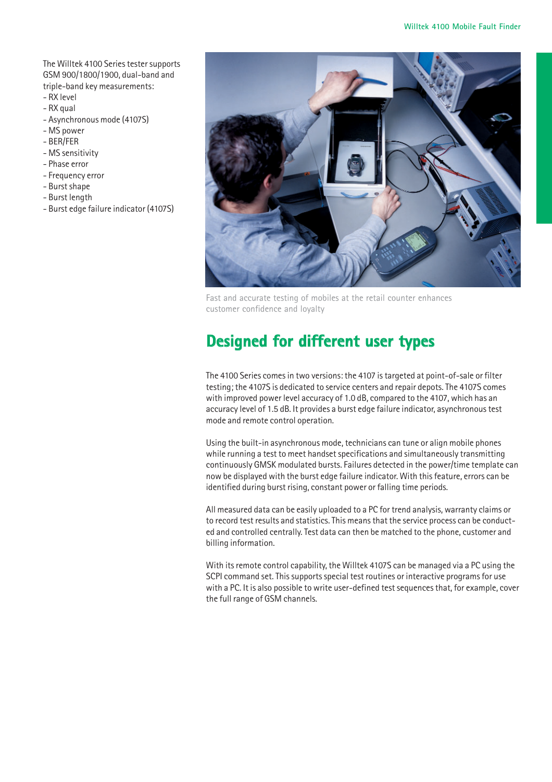The Willtek 4100 Series tester supports GSM 900/1800/1900, dual-band and triple-band key measurements:

- RX level
- RX qual
- Asynchronous mode (4107S)
- MS power
- BER/FER
- MS sensitivity
- Phase error
- Frequency error
- Burst shape
- Burst length
- Burst edge failure indicator (4107S)



Fast and accurate testing of mobiles at the retail counter enhances customer confidence and loyalty

## **Designed for different user types**

The 4100 Series comes in two versions: the 4107 is targeted at point-of-sale or filter testing; the 4107S is dedicated to service centers and repair depots. The 4107S comes with improved power level accuracy of 1.0 dB, compared to the 4107, which has an accuracy level of 1.5 dB. It provides a burst edge failure indicator, asynchronous test mode and remote control operation.

Using the built-in asynchronous mode, technicians can tune or align mobile phones while running a test to meet handset specifications and simultaneously transmitting continuously GMSK modulated bursts. Failures detected in the power/time template can now be displayed with the burst edge failure indicator. With this feature, errors can be identified during burst rising, constant power or falling time periods.

All measured data can be easily uploaded to a PC for trend analysis, warranty claims or to record test results and statistics. This means that the service process can be conducted and controlled centrally. Test data can then be matched to the phone, customer and billing information.

With its remote control capability, the Willtek 4107S can be managed via a PC using the SCPI command set. This supports special test routines or interactive programs for use with a PC. It is also possible to write user-defined test sequences that, for example, cover the full range of GSM channels.